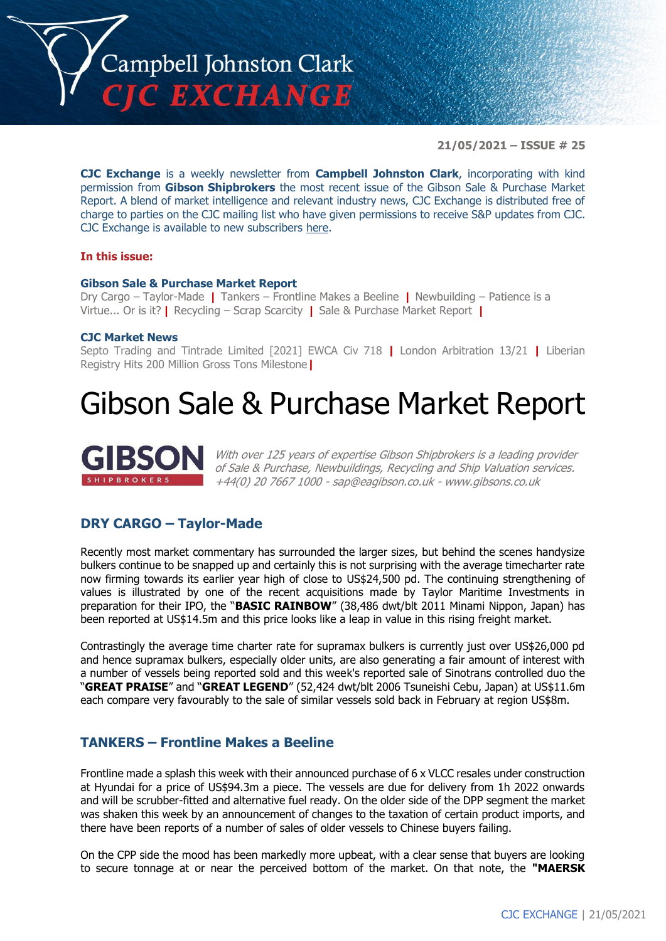

**21/05/2021 – ISSUE # 25**

**CJC Exchange** is a weekly newsletter from **Campbell Johnston Clark**, incorporating with kind permission from **Gibson Shipbrokers** the most recent issue of the Gibson Sale & Purchase Market Report. A blend of market intelligence and relevant industry news, CJC Exchange is distributed free of charge to parties on the CJC mailing list who have given permissions to receive S&P updates from CJC. CJC Exchange is available to new subscribers [here.](mailto:jamesc@cjclaw.com?subject=CJC%20Exchange%20sign-up)

#### **In this issue:**

#### **Gibson Sale & Purchase Market Report**

Dry Cargo – Taylor-Made **|** Tankers – Frontline Makes a Beeline **|** Newbuilding – Patience is a Virtue... Or is it? **|** Recycling – Scrap Scarcity **|** Sale & Purchase Market Report **|**

#### **CJC Market News**

Septo Trading and Tintrade Limited [2021] EWCA Civ 718 **|** London Arbitration 13/21 **|** Liberian Registry Hits 200 Million Gross Tons Milestone**|**

## Gibson Sale & Purchase Market Report



With over 125 years of expertise Gibson Shipbrokers is a leading provider of Sale & Purchase, Newbuildings, Recycling and Ship Valuation services. +44(0) 20 7667 1000 - [sap@eagibson.co.uk](mailto:sap@eagibson.co.uk) - [www.gibsons.co.uk](https://protect-eu.mimecast.com/s/VO6nCGZzRS60KqcK1jQh/)

#### **DRY CARGO – Taylor-Made**

Recently most market commentary has surrounded the larger sizes, but behind the scenes handysize bulkers continue to be snapped up and certainly this is not surprising with the average timecharter rate now firming towards its earlier year high of close to US\$24,500 pd. The continuing strengthening of values is illustrated by one of the recent acquisitions made by Taylor Maritime Investments in preparation for their IPO, the "**BASIC RAINBOW**" (38,486 dwt/blt 2011 Minami Nippon, Japan) has been reported at US\$14.5m and this price looks like a leap in value in this rising freight market.

Contrastingly the average time charter rate for supramax bulkers is currently just over US\$26,000 pd and hence supramax bulkers, especially older units, are also generating a fair amount of interest with a number of vessels being reported sold and this week's reported sale of Sinotrans controlled duo the "**GREAT PRAISE**" and "**GREAT LEGEND**" (52,424 dwt/blt 2006 Tsuneishi Cebu, Japan) at US\$11.6m each compare very favourably to the sale of similar vessels sold back in February at region US\$8m.

#### **TANKERS – Frontline Makes a Beeline**

Frontline made a splash this week with their announced purchase of 6 x VLCC resales under construction at Hyundai for a price of US\$94.3m a piece. The vessels are due for delivery from 1h 2022 onwards and will be scrubber-fitted and alternative fuel ready. On the older side of the DPP segment the market was shaken this week by an announcement of changes to the taxation of certain product imports, and there have been reports of a number of sales of older vessels to Chinese buyers failing.

On the CPP side the mood has been markedly more upbeat, with a clear sense that buyers are looking to secure tonnage at or near the perceived bottom of the market. On that note, the **"MAERSK**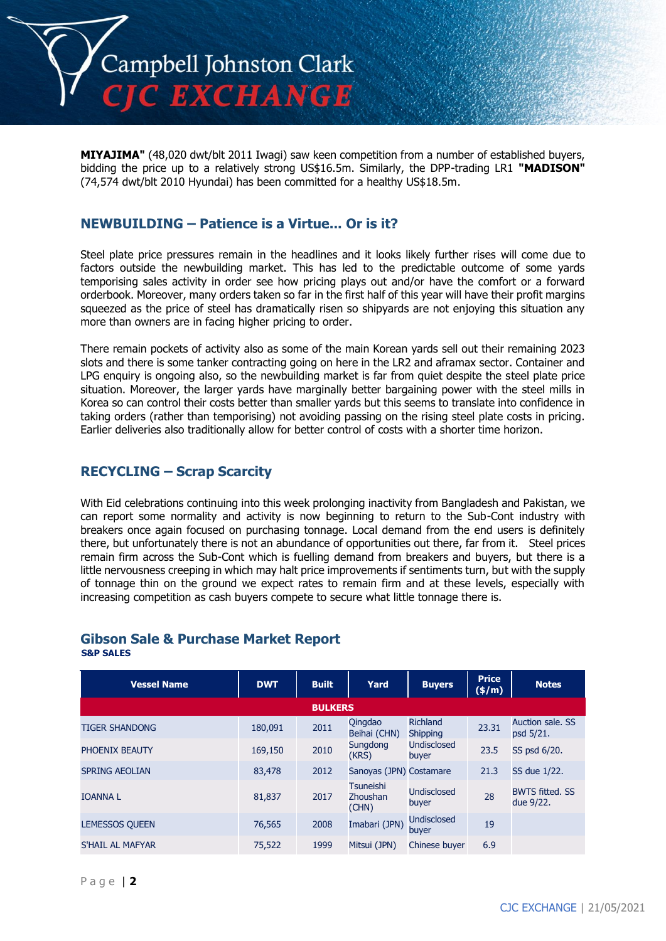

**MIYAJIMA"** (48,020 dwt/blt 2011 Iwagi) saw keen competition from a number of established buyers, bidding the price up to a relatively strong US\$16.5m. Similarly, the DPP-trading LR1 **"MADISON"** (74,574 dwt/blt 2010 Hyundai) has been committed for a healthy US\$18.5m.

#### **NEWBUILDING – Patience is a Virtue... Or is it?**

Steel plate price pressures remain in the headlines and it looks likely further rises will come due to factors outside the newbuilding market. This has led to the predictable outcome of some yards temporising sales activity in order see how pricing plays out and/or have the comfort or a forward orderbook. Moreover, many orders taken so far in the first half of this year will have their profit margins squeezed as the price of steel has dramatically risen so shipyards are not enjoying this situation any more than owners are in facing higher pricing to order.

There remain pockets of activity also as some of the main Korean yards sell out their remaining 2023 slots and there is some tanker contracting going on here in the LR2 and aframax sector. Container and LPG enquiry is ongoing also, so the newbuilding market is far from quiet despite the steel plate price situation. Moreover, the larger yards have marginally better bargaining power with the steel mills in Korea so can control their costs better than smaller yards but this seems to translate into confidence in taking orders (rather than temporising) not avoiding passing on the rising steel plate costs in pricing. Earlier deliveries also traditionally allow for better control of costs with a shorter time horizon.

#### **RECYCLING – Scrap Scarcity**

With Eid celebrations continuing into this week prolonging inactivity from Bangladesh and Pakistan, we can report some normality and activity is now beginning to return to the Sub-Cont industry with breakers once again focused on purchasing tonnage. Local demand from the end users is definitely there, but unfortunately there is not an abundance of opportunities out there, far from it. Steel prices remain firm across the Sub-Cont which is fuelling demand from breakers and buyers, but there is a little nervousness creeping in which may halt price improvements if sentiments turn, but with the supply of tonnage thin on the ground we expect rates to remain firm and at these levels, especially with increasing competition as cash buyers compete to secure what little tonnage there is.

### **Gibson Sale & Purchase Market Report**

**S&P SALES**

| <b>Vessel Name</b>    | <b>DWT</b> | <b>Built</b>   | Yard                                  | <b>Buyers</b>               | <b>Price</b><br>(\$/m) | <b>Notes</b>                        |
|-----------------------|------------|----------------|---------------------------------------|-----------------------------|------------------------|-------------------------------------|
|                       |            | <b>BULKERS</b> |                                       |                             |                        |                                     |
| <b>TIGER SHANDONG</b> | 180,091    | 2011           | Qingdao<br>Beihai (CHN)               | Richland<br><b>Shipping</b> | 23.31                  | Auction sale, SS<br>psd 5/21.       |
| PHOENIX BEAUTY        | 169,150    | 2010           | Sungdong<br>(KRS)                     | Undisclosed<br>buyer        | 23.5                   | SS psd 6/20.                        |
| <b>SPRING AEOLIAN</b> | 83,478     | 2012           | Sanoyas (JPN) Costamare               |                             | 21.3                   | SS due 1/22.                        |
| <b>IOANNAL</b>        | 81,837     | 2017           | <b>Tsuneishi</b><br>Zhoushan<br>(CHN) | Undisclosed<br>buyer        | 28                     | <b>BWTS fitted. SS</b><br>due 9/22. |
| <b>LEMESSOS QUEEN</b> | 76,565     | 2008           | Imabari (JPN)                         | <b>Undisclosed</b><br>buyer | 19                     |                                     |
| S'HAIL AL MAFYAR      | 75,522     | 1999           | Mitsui (JPN)                          | Chinese buyer               | 6.9                    |                                     |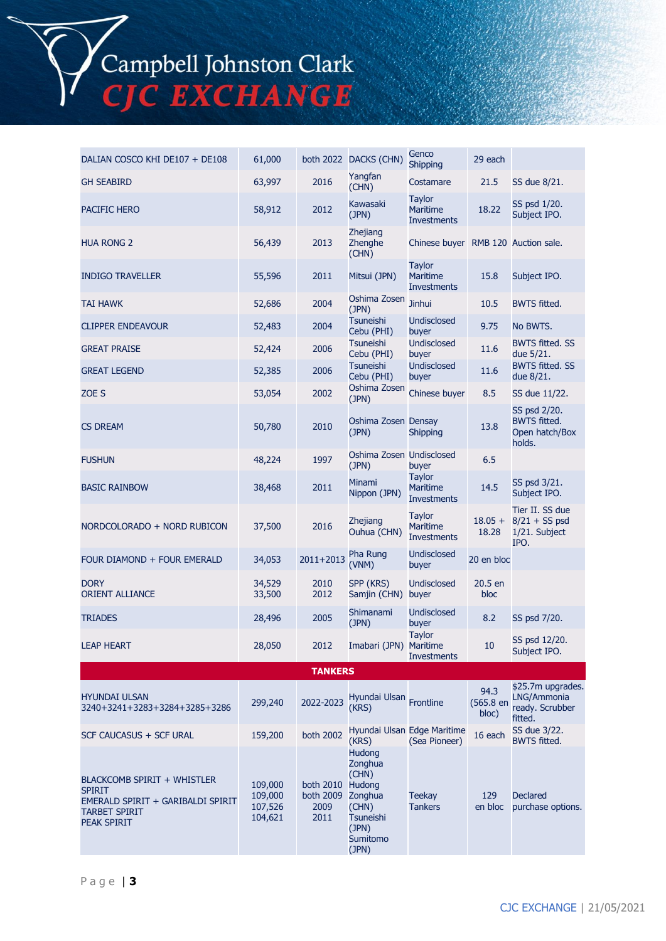Campbell Johnston Clark<br>CJC EXCHANGE

| DALIAN COSCO KHI DE107 + DE108                                                                                                  | 61,000                                   |                                        | both 2022 DACKS (CHN)                                                                                             | Genco<br><b>Shipping</b>                               | 29 each                    |                                                                 |
|---------------------------------------------------------------------------------------------------------------------------------|------------------------------------------|----------------------------------------|-------------------------------------------------------------------------------------------------------------------|--------------------------------------------------------|----------------------------|-----------------------------------------------------------------|
| <b>GH SEABIRD</b>                                                                                                               | 63,997                                   | 2016                                   | Yangfan<br>(CHN)                                                                                                  | Costamare                                              | 21.5                       | SS due 8/21.                                                    |
| PACIFIC HERO                                                                                                                    | 58,912                                   | 2012                                   | Kawasaki<br>(JPN)                                                                                                 | <b>Taylor</b><br><b>Maritime</b><br><b>Investments</b> | 18.22                      | SS psd 1/20.<br>Subject IPO.                                    |
| <b>HUA RONG 2</b>                                                                                                               | 56,439                                   | 2013                                   | Zhejiang<br>Zhenghe<br>(CHN)                                                                                      | Chinese buyer RMB 120 Auction sale.                    |                            |                                                                 |
| <b>INDIGO TRAVELLER</b>                                                                                                         | 55,596                                   | 2011                                   | Mitsui (JPN)                                                                                                      | <b>Taylor</b><br><b>Maritime</b><br><b>Investments</b> | 15.8                       | Subject IPO.                                                    |
| <b>TAI HAWK</b>                                                                                                                 | 52,686                                   | 2004                                   | Oshima Zosen<br>(JPN)                                                                                             | <b>Jinhui</b>                                          | 10.5                       | <b>BWTS fitted.</b>                                             |
| <b>CLIPPER ENDEAVOUR</b>                                                                                                        | 52,483                                   | 2004                                   | <b>Tsuneishi</b><br><b>Undisclosed</b><br>Cebu (PHI)<br>buyer                                                     |                                                        | 9.75                       | No BWTS.                                                        |
| <b>GREAT PRAISE</b>                                                                                                             | 52,424                                   | 2006                                   | <b>Tsuneishi</b><br>Cebu (PHI)                                                                                    | <b>Undisclosed</b><br>buyer                            | 11.6                       | <b>BWTS fitted. SS</b><br>due 5/21.                             |
| <b>GREAT LEGEND</b>                                                                                                             | 52,385                                   | 2006                                   | <b>Tsuneishi</b><br>Cebu (PHI)                                                                                    | <b>Undisclosed</b><br>buyer                            | 11.6                       | <b>BWTS fitted. SS</b><br>due 8/21.                             |
| ZOE S                                                                                                                           | 53,054                                   | 2002                                   | Oshima Zosen<br>(JPN)                                                                                             | Chinese buyer                                          | 8.5                        | SS due 11/22.                                                   |
| <b>CS DREAM</b>                                                                                                                 | 50,780                                   | 2010                                   | (JPN)                                                                                                             | Oshima Zosen Densay<br><b>Shipping</b>                 |                            | SS psd 2/20.<br><b>BWTS fitted.</b><br>Open hatch/Box<br>holds. |
| <b>FUSHUN</b>                                                                                                                   | 48,224                                   | 1997                                   | Oshima Zosen Undisclosed<br>(JPN)                                                                                 | buyer                                                  | 6.5                        |                                                                 |
| <b>BASIC RAINBOW</b>                                                                                                            | 38,468                                   | 2011                                   | Minami<br>Nippon (JPN)                                                                                            | <b>Taylor</b><br><b>Maritime</b><br><b>Investments</b> | 14.5                       | SS psd 3/21.<br>Subject IPO.                                    |
| NORDCOLORADO + NORD RUBICON                                                                                                     | 37,500                                   | 2016                                   | <b>Zhejiang</b><br>Ouhua (CHN)                                                                                    | <b>Taylor</b><br>Maritime<br><b>Investments</b>        |                            | Tier II. SS due<br>$8/21 + SS$ psd<br>1/21. Subject<br>IPO.     |
| FOUR DIAMOND + FOUR EMERALD                                                                                                     | 34,053                                   | 2011+2013                              | Pha Rung<br>(VNM)                                                                                                 | <b>Undisclosed</b><br>buyer                            | 20 en bloc                 |                                                                 |
| <b>DORY</b><br><b>ORIENT ALLIANCE</b>                                                                                           | 34,529<br>33,500                         | 2010<br>2012                           | SPP (KRS)<br>Samjin (CHN)                                                                                         | <b>Undisclosed</b><br>buyer                            | 20.5 en<br>bloc            |                                                                 |
| <b>TRIADES</b>                                                                                                                  | 28,496                                   | 2005                                   | Shimanami<br>(JPN)                                                                                                | <b>Undisclosed</b><br>buyer                            | 8.2                        | SS psd 7/20.                                                    |
| <b>LEAP HEART</b>                                                                                                               | 28,050                                   | 2012                                   | Imabari (JPN) Maritime                                                                                            | <b>Taylor</b><br><b>Investments</b>                    | 10                         | SS psd 12/20.<br>Subject IPO.                                   |
|                                                                                                                                 |                                          | <b>TANKERS</b>                         |                                                                                                                   |                                                        |                            |                                                                 |
| <b>HYUNDAI ULSAN</b><br>3240+3241+3283+3284+3285+3286                                                                           | 299,240                                  | 2022-2023                              | Hyundai Ulsan Frontline<br>(KRS)                                                                                  |                                                        | 94.3<br>(565.8 en<br>bloc) | \$25.7m upgrades.<br>LNG/Ammonia<br>ready. Scrubber<br>fitted.  |
| SCF CAUCASUS + SCF URAL                                                                                                         | 159,200                                  | <b>both 2002</b>                       | (KRS)                                                                                                             | Hyundai Ulsan Edge Maritime<br>(Sea Pioneer)           | 16 each                    | SS due 3/22.<br><b>BWTS fitted.</b>                             |
| <b>BLACKCOMB SPIRIT + WHISTLER</b><br><b>SPIRIT</b><br>EMERALD SPIRIT + GARIBALDI SPIRIT<br><b>TARBET SPIRIT</b><br>PEAK SPIRIT | 109,000<br>109,000<br>107,526<br>104,621 | both 2010<br>both 2009<br>2009<br>2011 | <b>Hudona</b><br>Zonghua<br>(CHN)<br>Hudong<br>Zonghua<br>(CHN)<br><b>Tsuneishi</b><br>(JPN)<br>Sumitomo<br>(JPN) | <b>Teekay</b><br><b>Tankers</b>                        | 129<br>en bloc             | <b>Declared</b><br>purchase options.                            |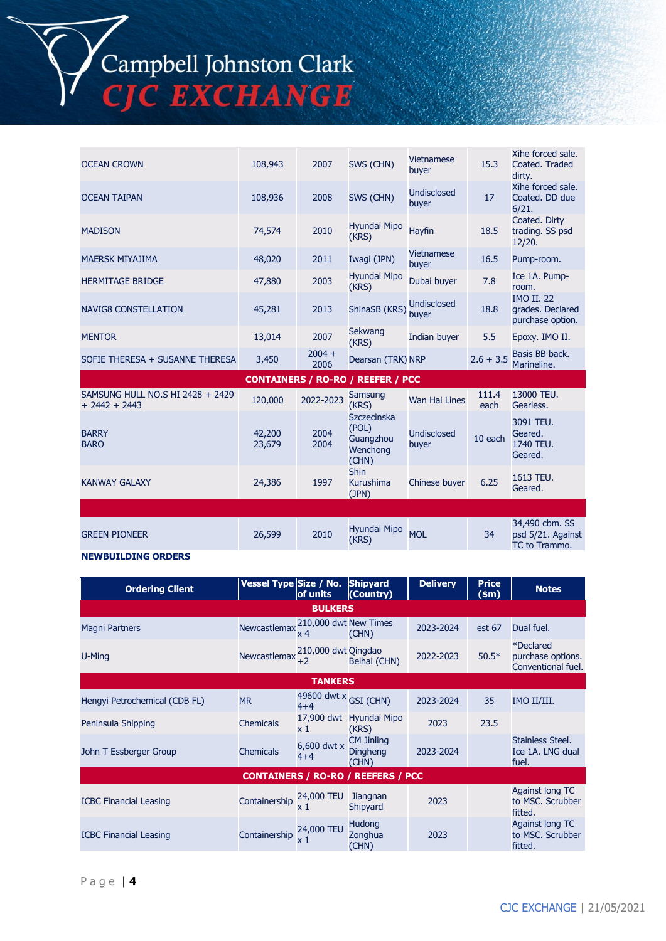# Campbell Johnston Clark<br>CJC EXCHANGE

| <b>OCEAN CROWN</b>              | 108,943 | 2007             | SWS (CHN)             | <b>Vietnamese</b><br>buyer  | 15.3        | Xihe forced sale.<br>Coated. Traded<br>dirty.             |
|---------------------------------|---------|------------------|-----------------------|-----------------------------|-------------|-----------------------------------------------------------|
| <b>OCEAN TAIPAN</b>             | 108,936 | 2008             | SWS (CHN)             | <b>Undisclosed</b><br>buyer | 17          | Xihe forced sale.<br>Coated. DD due<br>6/21.              |
| <b>MADISON</b>                  | 74,574  | 2010             | Hyundai Mipo<br>(KRS) | <b>Hayfin</b>               | 18.5        | Coated. Dirty<br>trading. SS psd<br>12/20.                |
| <b>MAERSK MIYAJIMA</b>          | 48,020  | 2011             | Iwagi (JPN)           | <b>Vietnamese</b><br>buyer  | 16.5        | Pump-room.                                                |
| <b>HERMITAGE BRIDGE</b>         | 47,880  | 2003             | Hyundai Mipo<br>(KRS) | Dubai buyer                 | 7.8         | Ice 1A. Pump-<br>room.                                    |
| <b>NAVIG8 CONSTELLATION</b>     | 45,281  | 2013             | ShinaSB (KRS)         | Undisclosed<br>buyer        | 18.8        | <b>IMO II. 22</b><br>grades. Declared<br>purchase option. |
| <b>MENTOR</b>                   | 13,014  | 2007             | Sekwang<br>(KRS)      | Indian buyer                | 5.5         | Epoxy. IMO II.                                            |
| SOFIE THERESA + SUSANNE THERESA | 3,450   | $2004 +$<br>2006 | Dearsan (TRK) NRP     |                             | $2.6 + 3.5$ | Basis BB back.<br>Marineline.                             |

|                                                     |                  |              | <b>CONTAINERS / RO-RO / REEFER / PCC</b>               |                      |               |                                                      |
|-----------------------------------------------------|------------------|--------------|--------------------------------------------------------|----------------------|---------------|------------------------------------------------------|
| SAMSUNG HULL NO.S HI 2428 + 2429<br>$+ 2442 + 2443$ | 120,000          | 2022-2023    | Samsung<br>(KRS)                                       | Wan Hai Lines        | 111.4<br>each | 13000 TEU.<br>Gearless.                              |
| <b>BARRY</b><br><b>BARO</b>                         | 42,200<br>23,679 | 2004<br>2004 | Szczecinska<br>(POL)<br>Guangzhou<br>Wenchong<br>(CHN) | Undisclosed<br>buyer | 10 each       | 3091 TEU.<br>Geared.<br>1740 TEU.<br>Geared.         |
| <b>KANWAY GALAXY</b>                                | 24,386           | 1997         | <b>Shin</b><br>Kurushima<br>(JPN)                      | Chinese buyer        | 6.25          | 1613 TEU.<br>Geared.                                 |
|                                                     |                  |              |                                                        |                      |               |                                                      |
| <b>GREEN PIONEER</b>                                | 26,599           | 2010         | Hyundai Mipo<br>(KRS)                                  | <b>MOL</b>           | 34            | 34,490 cbm. SS<br>psd 5/21. Against<br>TC to Trammo. |

#### **NEWBUILDING ORDERS**

| <b>Ordering Client</b>                    | Vessel Type Size / No. | of units                                | <b>Shipyard</b><br>(Country)                  | <b>Delivery</b> | <b>Price</b><br>\$m\$ | <b>Notes</b>                                                       |  |
|-------------------------------------------|------------------------|-----------------------------------------|-----------------------------------------------|-----------------|-----------------------|--------------------------------------------------------------------|--|
| <b>BULKERS</b>                            |                        |                                         |                                               |                 |                       |                                                                    |  |
| <b>Magni Partners</b>                     | Newcastlemax           | 210,000 dwt New Times<br>x 4            | (CHN)                                         | 2023-2024       | est 67                | Dual fuel.                                                         |  |
| U-Ming                                    | Newcastlemax           | 210,000 dwt Qingdao<br>$+2$             | Beihai (CHN)                                  | 2022-2023       | $50.5*$               | <i><b>*Declared</b></i><br>purchase options.<br>Conventional fuel. |  |
| <b>TANKERS</b>                            |                        |                                         |                                               |                 |                       |                                                                    |  |
| Hengyi Petrochemical (CDB FL)             | <b>MR</b>              | 49600 dwt $\times$ GSI (CHN)<br>$4 + 4$ |                                               | 2023-2024       | 35                    | IMO II/III.                                                        |  |
| Peninsula Shipping                        | <b>Chemicals</b>       | 17,900 dwt<br>x 1                       | Hyundai Mipo<br>(KRS)                         | 2023            | 23.5                  |                                                                    |  |
| John T Essberger Group                    | <b>Chemicals</b>       | 6,600 dwt x<br>$4 + 4$                  | <b>CM Jinling</b><br><b>Dingheng</b><br>(CHN) | 2023-2024       |                       | Stainless Steel.<br>Ice 1A. LNG dual<br>fuel.                      |  |
| <b>CONTAINERS / RO-RO / REEFERS / PCC</b> |                        |                                         |                                               |                 |                       |                                                                    |  |
| <b>ICBC Financial Leasing</b>             | Containership          | 24,000 TEU<br>x 1                       | <b>Jiangnan</b><br>Shipyard                   | 2023            |                       | <b>Against long TC</b><br>to MSC. Scrubber<br>fitted.              |  |
| <b>ICBC Financial Leasing</b>             | Containership          | 24,000 TEU<br>x 1                       | <b>Hudong</b><br>Zonghua<br>(CHN)             | 2023            |                       | <b>Against long TC</b><br>to MSC. Scrubber<br>fitted.              |  |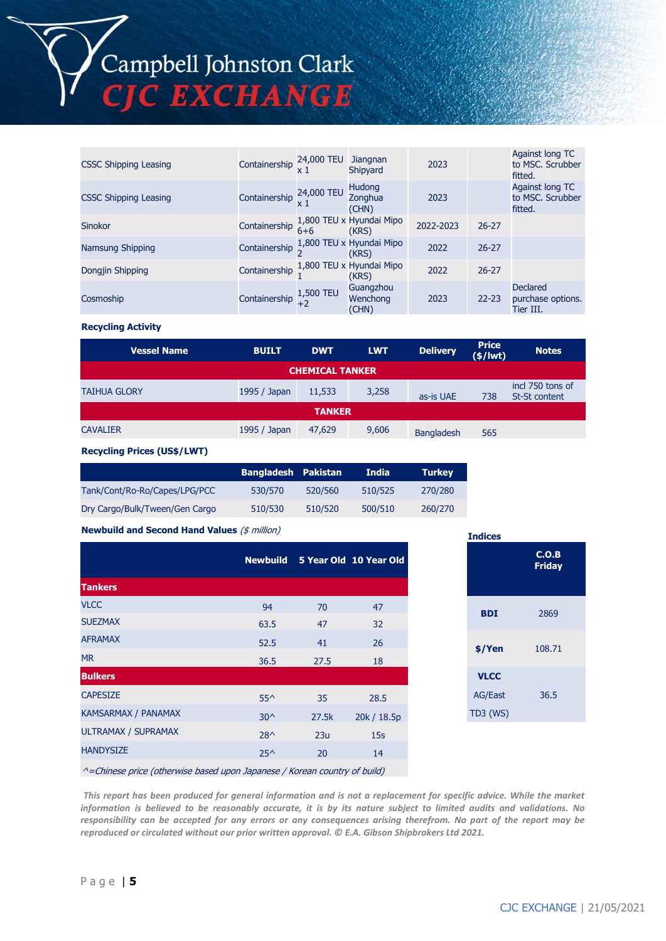

| <b>CSSC Shipping Leasing</b> | Containership 24,000 TEU |           | <b>Jiangnan</b><br>Shipyard       | 2023      |           | Against long TC<br>to MSC. Scrubber<br>fitted.    |
|------------------------------|--------------------------|-----------|-----------------------------------|-----------|-----------|---------------------------------------------------|
| <b>CSSC Shipping Leasing</b> | Containership 24,000 TEU |           | <b>Hudong</b><br>Zonghua<br>(CHN) | 2023      |           | Against long TC<br>to MSC. Scrubber<br>fitted.    |
| Sinokor                      | Containership            | $6 + 6$   | 1,800 TEU x Hyundai Mipo<br>(KRS) | 2022-2023 | $26 - 27$ |                                                   |
| Namsung Shipping             | Containership            |           | 1,800 TEU x Hyundai Mipo<br>(KRS) | 2022      | $26 - 27$ |                                                   |
| Dongjin Shipping             | Containership            |           | 1,800 TEU x Hyundai Mipo<br>(KRS) | 2022      | $26 - 27$ |                                                   |
| Cosmoship                    | Containership            | 1,500 TEU | Guangzhou<br>Wenchong<br>(CHN)    | 2023      | $22 - 23$ | <b>Declared</b><br>purchase options.<br>Tier III. |

#### **Recycling Activity**

| <b>Vessel Name</b>     | <b>BUILT</b> | <b>DWT</b> | <b>LWT</b> | <b>Delivery</b>   | <b>Price</b><br>$(\frac{2}{3})$ | <b>Notes</b>                             |  |
|------------------------|--------------|------------|------------|-------------------|---------------------------------|------------------------------------------|--|
| <b>CHEMICAL TANKER</b> |              |            |            |                   |                                 |                                          |  |
| <b>TAIHUA GLORY</b>    | 1995 / Japan | 11,533     | 3,258      | as-is UAE         | 738                             | incl 750 tons of<br><b>St-St content</b> |  |
| <b>TANKER</b>          |              |            |            |                   |                                 |                                          |  |
| <b>CAVALIER</b>        | 1995 / Japan | 47,629     | 9,606      | <b>Bangladesh</b> | 565                             |                                          |  |

#### **Recycling Prices (US\$/LWT)**

|                                | <b>Bangladesh Pakistan</b> |         | India   | <b>Turkey</b> |
|--------------------------------|----------------------------|---------|---------|---------------|
| Tank/Cont/Ro-Ro/Capes/LPG/PCC  | 530/570                    | 520/560 | 510/525 | 270/280       |
| Dry Cargo/Bulk/Tween/Gen Cargo | 510/530                    | 510/520 | 500/510 | 260/270       |

#### **Newbuild and Second Hand Values** (\$ million)

|                                                                            |               |       | Newbuild 5 Year Old 10 Year Old |
|----------------------------------------------------------------------------|---------------|-------|---------------------------------|
| <b>Tankers</b>                                                             |               |       |                                 |
| <b>VLCC</b>                                                                | 94            | 70    | 47                              |
| <b>SUEZMAX</b>                                                             | 63.5          | 47    | 32                              |
| <b>AFRAMAX</b>                                                             | 52.5          | 41    | 26                              |
| <b>MR</b>                                                                  | 36.5          | 27.5  | 18                              |
| <b>Bulkers</b>                                                             |               |       |                                 |
| <b>CAPESIZE</b>                                                            | $55^{\wedge}$ | 35    | 28.5                            |
| <b>KAMSARMAX / PANAMAX</b>                                                 | $30^{\circ}$  | 27.5k | 20k / 18.5p                     |
| ULTRAMAX / SUPRAMAX                                                        | $28^{\wedge}$ | 23u   | 15 <sub>s</sub>                 |
| <b>HANDYSIZE</b>                                                           | $25^{\wedge}$ | 20    | 14                              |
| A Chinago price (athonying based upon Iananeses / Kerean sountry of build) |               |       |                                 |

| <b>Indices</b>  |                        |
|-----------------|------------------------|
|                 | C.O.B<br><b>Friday</b> |
| <b>BDI</b>      | 2869                   |
| \$/Yen          | 108.71                 |
| <b>VLCC</b>     |                        |
| <b>AG/East</b>  | 36.5                   |
| <b>TD3 (WS)</b> |                        |

^=Chinese price (otherwise based upon Japanese / Korean country of build)

 *This report has been produced for general information and is not a replacement for specific advice. While the market information is believed to be reasonably accurate, it is by its nature subject to limited audits and validations. No responsibility can be accepted for any errors or any consequences arising therefrom. No part of the report may be reproduced or circulated without our prior written approval. © E.A. Gibson Shipbrokers Ltd 2021.*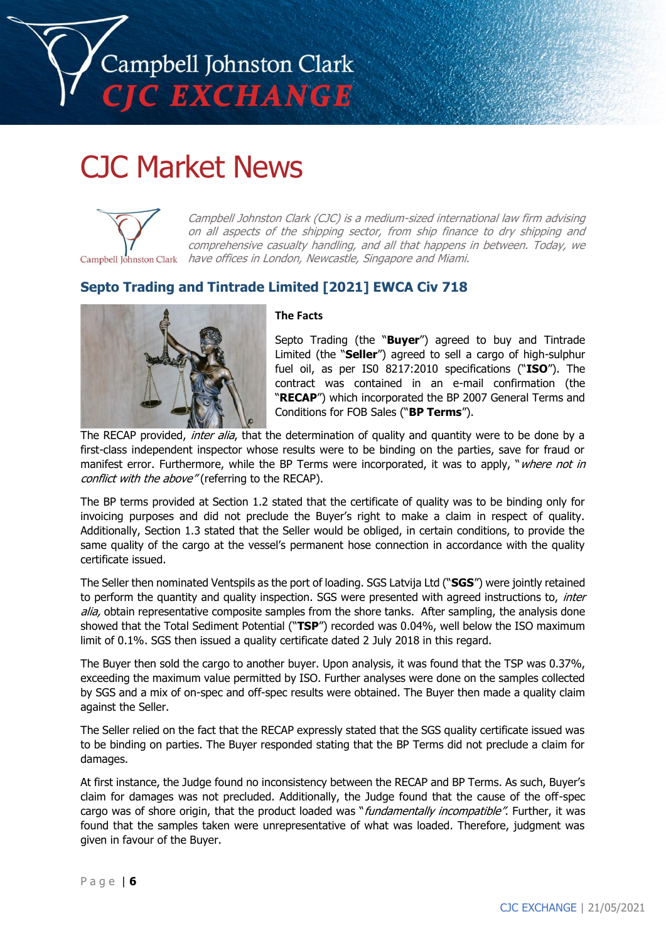

## CJC Market News



Campbell Johnston Clark (CJC) is a medium-sized international law firm advising on all aspects of the shipping sector, from ship finance to dry shipping and comprehensive casualty handling, and all that happens in between. Today, we Campbell Johnston Clark have offices in London, Newcastle, Singapore and Miami.

#### **Septo Trading and Tintrade Limited [2021] EWCA Civ 718**



#### **The Facts**

Septo Trading (the "**Buyer**") agreed to buy and Tintrade Limited (the "**Seller**") agreed to sell a cargo of high-sulphur fuel oil, as per IS0 8217:2010 specifications ("**ISO**"). The contract was contained in an e-mail confirmation (the "**RECAP**") which incorporated the BP 2007 General Terms and Conditions for FOB Sales ("**BP Terms**").

The RECAP provided, inter alia, that the determination of quality and quantity were to be done by a first-class independent inspector whose results were to be binding on the parties, save for fraud or manifest error. Furthermore, while the BP Terms were incorporated, it was to apply, "where not in conflict with the above" (referring to the RECAP).

The BP terms provided at Section 1.2 stated that the certificate of quality was to be binding only for invoicing purposes and did not preclude the Buyer's right to make a claim in respect of quality. Additionally, Section 1.3 stated that the Seller would be obliged, in certain conditions, to provide the same quality of the cargo at the vessel's permanent hose connection in accordance with the quality certificate issued.

The Seller then nominated Ventspils as the port of loading. SGS Latvija Ltd ("**SGS**") were jointly retained to perform the quantity and quality inspection. SGS were presented with agreed instructions to, inter alia, obtain representative composite samples from the shore tanks. After sampling, the analysis done showed that the Total Sediment Potential ("**TSP**") recorded was 0.04%, well below the ISO maximum limit of 0.1%. SGS then issued a quality certificate dated 2 July 2018 in this regard.

The Buyer then sold the cargo to another buyer. Upon analysis, it was found that the TSP was 0.37%, exceeding the maximum value permitted by ISO. Further analyses were done on the samples collected by SGS and a mix of on-spec and off-spec results were obtained. The Buyer then made a quality claim against the Seller.

The Seller relied on the fact that the RECAP expressly stated that the SGS quality certificate issued was to be binding on parties. The Buyer responded stating that the BP Terms did not preclude a claim for damages.

At first instance, the Judge found no inconsistency between the RECAP and BP Terms. As such, Buyer's claim for damages was not precluded. Additionally, the Judge found that the cause of the off-spec cargo was of shore origin, that the product loaded was "fundamentally incompatible". Further, it was found that the samples taken were unrepresentative of what was loaded. Therefore, judgment was given in favour of the Buyer.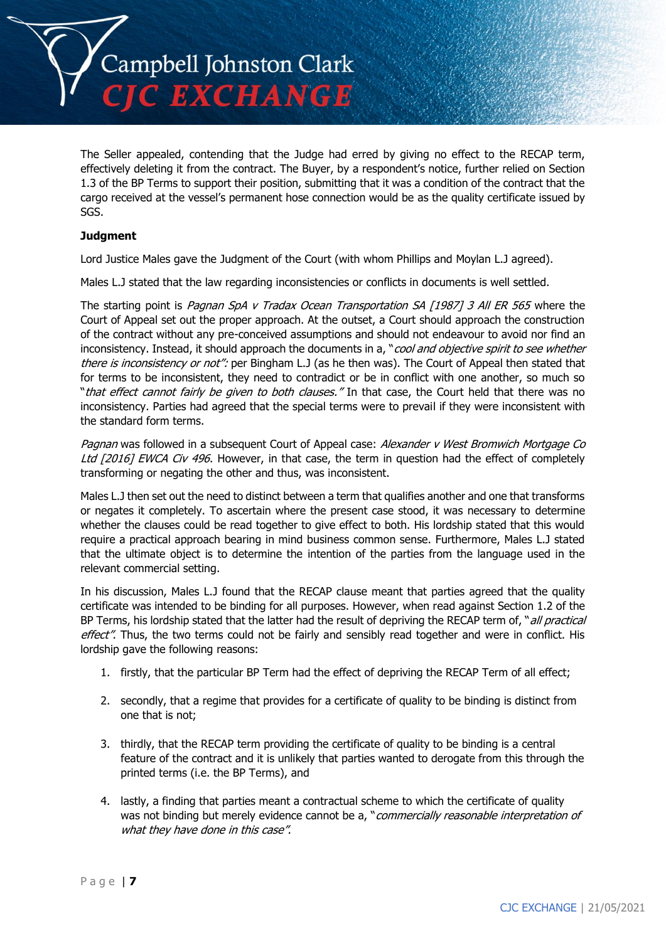

The Seller appealed, contending that the Judge had erred by giving no effect to the RECAP term, effectively deleting it from the contract. The Buyer, by a respondent's notice, further relied on Section 1.3 of the BP Terms to support their position, submitting that it was a condition of the contract that the cargo received at the vessel's permanent hose connection would be as the quality certificate issued by SGS.

#### **Judgment**

Lord Justice Males gave the Judgment of the Court (with whom Phillips and Moylan L.J agreed).

Males L.J stated that the law regarding inconsistencies or conflicts in documents is well settled.

The starting point is Pagnan SpA v Tradax Ocean Transportation SA [1987] 3 All ER 565 where the Court of Appeal set out the proper approach. At the outset, a Court should approach the construction of the contract without any pre-conceived assumptions and should not endeavour to avoid nor find an inconsistency. Instead, it should approach the documents in a, "cool and objective spirit to see whether there is inconsistency or not": per Bingham L.J (as he then was). The Court of Appeal then stated that for terms to be inconsistent, they need to contradict or be in conflict with one another, so much so "*that effect cannot fairly be given to both clauses."* In that case, the Court held that there was no inconsistency. Parties had agreed that the special terms were to prevail if they were inconsistent with the standard form terms.

Pagnan was followed in a subsequent Court of Appeal case: Alexander v West Bromwich Mortgage Co Ltd [2016] EWCA Civ 496. However, in that case, the term in question had the effect of completely transforming or negating the other and thus, was inconsistent.

Males L.J then set out the need to distinct between a term that qualifies another and one that transforms or negates it completely. To ascertain where the present case stood, it was necessary to determine whether the clauses could be read together to give effect to both. His lordship stated that this would require a practical approach bearing in mind business common sense. Furthermore, Males L.J stated that the ultimate object is to determine the intention of the parties from the language used in the relevant commercial setting.

In his discussion, Males L.J found that the RECAP clause meant that parties agreed that the quality certificate was intended to be binding for all purposes. However, when read against Section 1.2 of the BP Terms, his lordship stated that the latter had the result of depriving the RECAP term of, "all practical effect". Thus, the two terms could not be fairly and sensibly read together and were in conflict. His lordship gave the following reasons:

- 1. firstly, that the particular BP Term had the effect of depriving the RECAP Term of all effect;
- 2. secondly, that a regime that provides for a certificate of quality to be binding is distinct from one that is not;
- 3. thirdly, that the RECAP term providing the certificate of quality to be binding is a central feature of the contract and it is unlikely that parties wanted to derogate from this through the printed terms (i.e. the BP Terms), and
- 4. lastly, a finding that parties meant a contractual scheme to which the certificate of quality was not binding but merely evidence cannot be a, "*commercially reasonable interpretation of* what they have done in this case".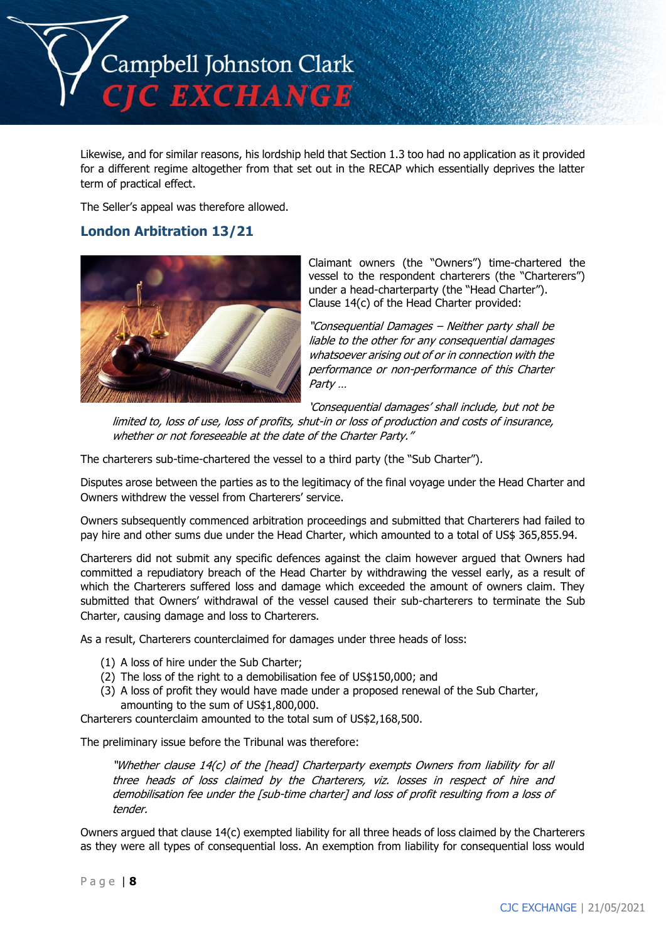

Likewise, and for similar reasons, his lordship held that Section 1.3 too had no application as it provided for a different regime altogether from that set out in the RECAP which essentially deprives the latter term of practical effect.

The Seller's appeal was therefore allowed.

#### **London Arbitration 13/21**



Claimant owners (the "Owners") time-chartered the vessel to the respondent charterers (the "Charterers") under a head-charterparty (the "Head Charter"). Clause 14(c) of the Head Charter provided:

"Consequential Damages – Neither party shall be liable to the other for any consequential damages whatsoever arising out of or in connection with the performance or non-performance of this Charter Party …

'Consequential damages' shall include, but not be

limited to, loss of use, loss of profits, shut-in or loss of production and costs of insurance, whether or not foreseeable at the date of the Charter Party."

The charterers sub-time-chartered the vessel to a third party (the "Sub Charter").

Disputes arose between the parties as to the legitimacy of the final voyage under the Head Charter and Owners withdrew the vessel from Charterers' service.

Owners subsequently commenced arbitration proceedings and submitted that Charterers had failed to pay hire and other sums due under the Head Charter, which amounted to a total of US\$ 365,855.94.

Charterers did not submit any specific defences against the claim however argued that Owners had committed a repudiatory breach of the Head Charter by withdrawing the vessel early, as a result of which the Charterers suffered loss and damage which exceeded the amount of owners claim. They submitted that Owners' withdrawal of the vessel caused their sub-charterers to terminate the Sub Charter, causing damage and loss to Charterers.

As a result, Charterers counterclaimed for damages under three heads of loss:

- (1) A loss of hire under the Sub Charter;
- (2) The loss of the right to a demobilisation fee of US\$150,000; and
- (3) A loss of profit they would have made under a proposed renewal of the Sub Charter, amounting to the sum of US\$1,800,000.

Charterers counterclaim amounted to the total sum of US\$2,168,500.

The preliminary issue before the Tribunal was therefore:

"Whether clause 14(c) of the [head] Charterparty exempts Owners from liability for all three heads of loss claimed by the Charterers, viz. losses in respect of hire and demobilisation fee under the [sub-time charter] and loss of profit resulting from a loss of tender.

Owners argued that clause 14(c) exempted liability for all three heads of loss claimed by the Charterers as they were all types of consequential loss. An exemption from liability for consequential loss would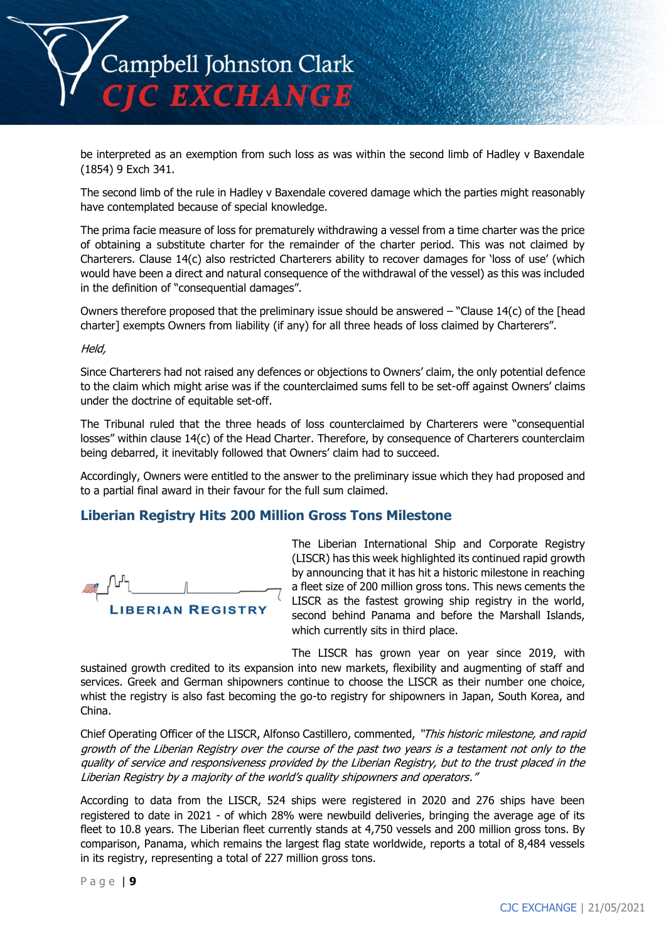

be interpreted as an exemption from such loss as was within the second limb of Hadley v Baxendale (1854) 9 Exch 341.

The second limb of the rule in Hadley v Baxendale covered damage which the parties might reasonably have contemplated because of special knowledge.

The prima facie measure of loss for prematurely withdrawing a vessel from a time charter was the price of obtaining a substitute charter for the remainder of the charter period. This was not claimed by Charterers. Clause 14(c) also restricted Charterers ability to recover damages for 'loss of use' (which would have been a direct and natural consequence of the withdrawal of the vessel) as this was included in the definition of "consequential damages".

Owners therefore proposed that the preliminary issue should be answered – "Clause 14(c) of the [head charter] exempts Owners from liability (if any) for all three heads of loss claimed by Charterers".

Held,

Since Charterers had not raised any defences or objections to Owners' claim, the only potential defence to the claim which might arise was if the counterclaimed sums fell to be set-off against Owners' claims under the doctrine of equitable set-off.

The Tribunal ruled that the three heads of loss counterclaimed by Charterers were "consequential losses" within clause 14(c) of the Head Charter. Therefore, by consequence of Charterers counterclaim being debarred, it inevitably followed that Owners' claim had to succeed.

Accordingly, Owners were entitled to the answer to the preliminary issue which they had proposed and to a partial final award in their favour for the full sum claimed.

#### **Liberian Registry Hits 200 Million Gross Tons Milestone**

**LIBERIAN REGISTRY** 

The Liberian International Ship and Corporate Registry (LISCR) has this week highlighted its continued rapid growth by announcing that it has hit a historic milestone in reaching a fleet size of 200 million gross tons. This news cements the LISCR as the fastest growing ship registry in the world, second behind Panama and before the Marshall Islands, which currently sits in third place.

The LISCR has grown year on year since 2019, with sustained growth credited to its expansion into new markets, flexibility and augmenting of staff and services. Greek and German shipowners continue to choose the LISCR as their number one choice, whist the registry is also fast becoming the go-to registry for shipowners in Japan, South Korea, and China.

Chief Operating Officer of the LISCR, Alfonso Castillero, commented, "This historic milestone, and rapid growth of the Liberian Registry over the course of the past two years is a testament not only to the quality of service and responsiveness provided by the Liberian Registry, but to the trust placed in the Liberian Registry by a majority of the world's quality shipowners and operators."

According to data from the LISCR, 524 ships were registered in 2020 and 276 ships have been registered to date in 2021 - of which 28% were newbuild deliveries, bringing the average age of its fleet to 10.8 years. The Liberian fleet currently stands at 4,750 vessels and 200 million gross tons. By comparison, Panama, which remains the largest flag state worldwide, reports a total of 8,484 vessels in its registry, representing a total of 227 million gross tons.